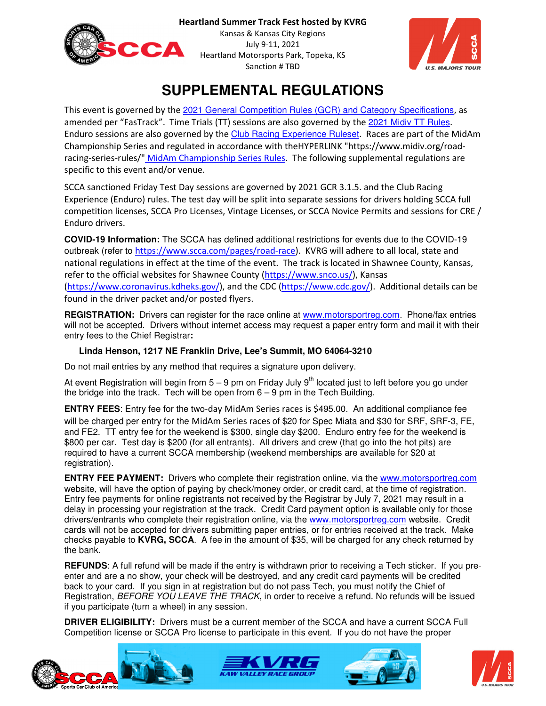



# **SUPPLEMENTAL REGULATIONS**

This event is governed by the 2021 General Competition Rules (GCR) and Category Specifications, as amended per "FasTrack". Time Trials (TT) sessions are also governed by the 2021 Midiv TT Rules. Enduro sessions are also governed by the Club Racing Experience Ruleset. Races are part of the MidAm Championship Series and regulated in accordance with theHYPERLINK "https://www.midiv.org/roadracing-series-rules/" MidAm Championship Series Rules. The following supplemental regulations are specific to this event and/or venue.

SCCA sanctioned Friday Test Day sessions are governed by 2021 GCR 3.1.5. and the Club Racing Experience (Enduro) rules. The test day will be split into separate sessions for drivers holding SCCA full competition licenses, SCCA Pro Licenses, Vintage Licenses, or SCCA Novice Permits and sessions for CRE / Enduro drivers.

**COVID-19 Information:** The SCCA has defined additional restrictions for events due to the COVID-19 outbreak (refer to https://www.scca.com/pages/road-race). KVRG will adhere to all local, state and national regulations in effect at the time of the event. The track is located in Shawnee County, Kansas, refer to the official websites for Shawnee County (https://www.snco.us/), Kansas (https://www.coronavirus.kdheks.gov/), and the CDC (https://www.cdc.gov/). Additional details can be found in the driver packet and/or posted flyers.

**REGISTRATION:** Drivers can register for the race online at www.motorsportreg.com. Phone/fax entries will not be accepted. Drivers without internet access may request a paper entry form and mail it with their entry fees to the Chief Registrar**:** 

# **Linda Henson, 1217 NE Franklin Drive, Lee's Summit, MO 64064-3210**

Do not mail entries by any method that requires a signature upon delivery.

At event Registration will begin from  $5 - 9$  pm on Friday July  $9<sup>th</sup>$  located just to left before you go under the bridge into the track. Tech will be open from 6 – 9 pm in the Tech Building.

**ENTRY FEES**: Entry fee for the two-day MidAm Series races is \$495.00. An additional compliance fee will be charged per entry for the MidAm Series races of \$20 for Spec Miata and \$30 for SRF, SRF-3, FE, and FE2. TT entry fee for the weekend is \$300, single day \$200. Enduro entry fee for the weekend is \$800 per car. Test day is \$200 (for all entrants). All drivers and crew (that go into the hot pits) are required to have a current SCCA membership (weekend memberships are available for \$20 at registration).

**ENTRY FEE PAYMENT:** Drivers who complete their registration online, via the www.motorsportreg.com website, will have the option of paying by check/money order, or credit card, at the time of registration. Entry fee payments for online registrants not received by the Registrar by July 7, 2021 may result in a delay in processing your registration at the track. Credit Card payment option is available only for those drivers/entrants who complete their registration online, via the www.motorsportreg.com website. Credit cards will not be accepted for drivers submitting paper entries, or for entries received at the track. Make checks payable to **KVRG, SCCA**. A fee in the amount of \$35, will be charged for any check returned by the bank.

**REFUNDS**: A full refund will be made if the entry is withdrawn prior to receiving a Tech sticker. If you preenter and are a no show, your check will be destroyed, and any credit card payments will be credited back to your card. If you sign in at registration but do not pass Tech, you must notify the Chief of Registration, BEFORE YOU LEAVE THE TRACK, in order to receive a refund. No refunds will be issued if you participate (turn a wheel) in any session.

**DRIVER ELIGIBILITY:** Drivers must be a current member of the SCCA and have a current SCCA Full Competition license or SCCA Pro license to participate in this event. If you do not have the proper







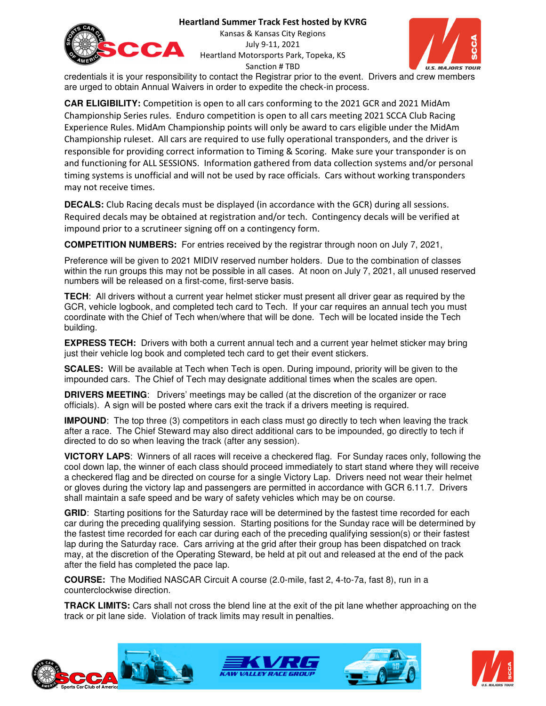#### **Heartland Summer Track Fest hosted by KVRG**



Kansas & Kansas City Regions July 9-11, 2021 Heartland Motorsports Park, Topeka, KS Sanction # TBD



credentials it is your responsibility to contact the Registrar prior to the event. Drivers and crew members are urged to obtain Annual Waivers in order to expedite the check-in process.

**CAR ELIGIBILITY:** Competition is open to all cars conforming to the 2021 GCR and 2021 MidAm Championship Series rules. Enduro competition is open to all cars meeting 2021 SCCA Club Racing Experience Rules. MidAm Championship points will only be award to cars eligible under the MidAm Championship ruleset. All cars are required to use fully operational transponders, and the driver is responsible for providing correct information to Timing & Scoring. Make sure your transponder is on and functioning for ALL SESSIONS. Information gathered from data collection systems and/or personal timing systems is unofficial and will not be used by race officials. Cars without working transponders may not receive times.

**DECALS:** Club Racing decals must be displayed (in accordance with the GCR) during all sessions. Required decals may be obtained at registration and/or tech. Contingency decals will be verified at impound prior to a scrutineer signing off on a contingency form.

**COMPETITION NUMBERS:** For entries received by the registrar through noon on July 7, 2021,

Preference will be given to 2021 MIDIV reserved number holders. Due to the combination of classes within the run groups this may not be possible in all cases. At noon on July 7, 2021, all unused reserved numbers will be released on a first-come, first-serve basis.

**TECH**: All drivers without a current year helmet sticker must present all driver gear as required by the GCR, vehicle logbook, and completed tech card to Tech. If your car requires an annual tech you must coordinate with the Chief of Tech when/where that will be done. Tech will be located inside the Tech building.

**EXPRESS TECH:** Drivers with both a current annual tech and a current year helmet sticker may bring just their vehicle log book and completed tech card to get their event stickers.

**SCALES:** Will be available at Tech when Tech is open. During impound, priority will be given to the impounded cars. The Chief of Tech may designate additional times when the scales are open.

**DRIVERS MEETING:** Drivers' meetings may be called (at the discretion of the organizer or race officials). A sign will be posted where cars exit the track if a drivers meeting is required.

**IMPOUND:** The top three (3) competitors in each class must go directly to tech when leaving the track after a race. The Chief Steward may also direct additional cars to be impounded, go directly to tech if directed to do so when leaving the track (after any session).

**VICTORY LAPS**: Winners of all races will receive a checkered flag. For Sunday races only, following the cool down lap, the winner of each class should proceed immediately to start stand where they will receive a checkered flag and be directed on course for a single Victory Lap. Drivers need not wear their helmet or gloves during the victory lap and passengers are permitted in accordance with GCR 6.11.7. Drivers shall maintain a safe speed and be wary of safety vehicles which may be on course.

**GRID:** Starting positions for the Saturday race will be determined by the fastest time recorded for each car during the preceding qualifying session. Starting positions for the Sunday race will be determined by the fastest time recorded for each car during each of the preceding qualifying session(s) or their fastest lap during the Saturday race. Cars arriving at the grid after their group has been dispatched on track may, at the discretion of the Operating Steward, be held at pit out and released at the end of the pack after the field has completed the pace lap.

**COURSE:** The Modified NASCAR Circuit A course (2.0-mile, fast 2, 4-to-7a, fast 8), run in a counterclockwise direction.

**TRACK LIMITS:** Cars shall not cross the blend line at the exit of the pit lane whether approaching on the track or pit lane side. Violation of track limits may result in penalties.







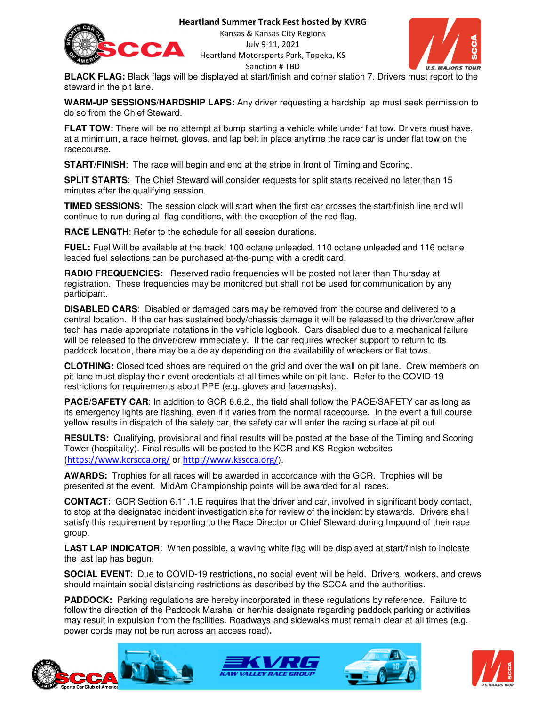

**Heartland Summer Track Fest hosted by KVRG**

Kansas & Kansas City Regions July 9-11, 2021 Heartland Motorsports Park, Topeka, KS Sanction # TBD



**BLACK FLAG:** Black flags will be displayed at start/finish and corner station 7. Drivers must report to the steward in the pit lane.

**WARM-UP SESSIONS/HARDSHIP LAPS:** Any driver requesting a hardship lap must seek permission to do so from the Chief Steward.

**FLAT TOW:** There will be no attempt at bump starting a vehicle while under flat tow. Drivers must have, at a minimum, a race helmet, gloves, and lap belt in place anytime the race car is under flat tow on the racecourse.

**START/FINISH**: The race will begin and end at the stripe in front of Timing and Scoring.

**SPLIT STARTS**: The Chief Steward will consider requests for split starts received no later than 15 minutes after the qualifying session.

**TIMED SESSIONS**: The session clock will start when the first car crosses the start/finish line and will continue to run during all flag conditions, with the exception of the red flag.

**RACE LENGTH**: Refer to the schedule for all session durations.

**FUEL:** Fuel Will be available at the track! 100 octane unleaded, 110 octane unleaded and 116 octane leaded fuel selections can be purchased at-the-pump with a credit card.

**RADIO FREQUENCIES:** Reserved radio frequencies will be posted not later than Thursday at registration. These frequencies may be monitored but shall not be used for communication by any participant.

**DISABLED CARS**: Disabled or damaged cars may be removed from the course and delivered to a central location. If the car has sustained body/chassis damage it will be released to the driver/crew after tech has made appropriate notations in the vehicle logbook. Cars disabled due to a mechanical failure will be released to the driver/crew immediately. If the car requires wrecker support to return to its paddock location, there may be a delay depending on the availability of wreckers or flat tows.

**CLOTHING:** Closed toed shoes are required on the grid and over the wall on pit lane. Crew members on pit lane must display their event credentials at all times while on pit lane. Refer to the COVID-19 restrictions for requirements about PPE (e.g. gloves and facemasks).

**PACE/SAFETY CAR**: In addition to GCR 6.6.2., the field shall follow the PACE/SAFETY car as long as its emergency lights are flashing, even if it varies from the normal racecourse. In the event a full course yellow results in dispatch of the safety car, the safety car will enter the racing surface at pit out.

**RESULTS:** Qualifying, provisional and final results will be posted at the base of the Timing and Scoring Tower (hospitality). Final results will be posted to the KCR and KS Region websites (https://www.kcrscca.org/ or http://www.ksscca.org/).

**AWARDS:** Trophies for all races will be awarded in accordance with the GCR. Trophies will be presented at the event. MidAm Championship points will be awarded for all races.

**CONTACT:** GCR Section 6.11.1.E requires that the driver and car, involved in significant body contact, to stop at the designated incident investigation site for review of the incident by stewards. Drivers shall satisfy this requirement by reporting to the Race Director or Chief Steward during Impound of their race group.

**LAST LAP INDICATOR**: When possible, a waving white flag will be displayed at start/finish to indicate the last lap has begun.

**SOCIAL EVENT**: Due to COVID-19 restrictions, no social event will be held. Drivers, workers, and crews should maintain social distancing restrictions as described by the SCCA and the authorities.

**PADDOCK:** Parking regulations are hereby incorporated in these regulations by reference. Failure to follow the direction of the Paddock Marshal or her/his designate regarding paddock parking or activities may result in expulsion from the facilities. Roadways and sidewalks must remain clear at all times (e.g. power cords may not be run across an access road)**.** 







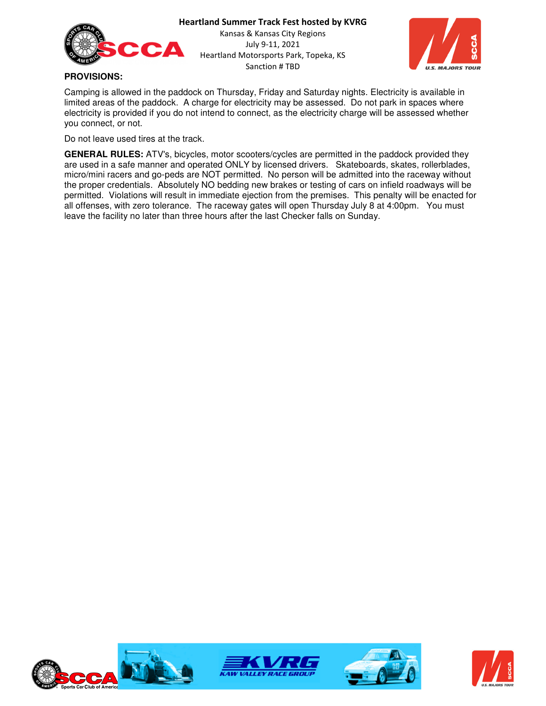



### **PROVISIONS:**

Camping is allowed in the paddock on Thursday, Friday and Saturday nights. Electricity is available in limited areas of the paddock. A charge for electricity may be assessed. Do not park in spaces where electricity is provided if you do not intend to connect, as the electricity charge will be assessed whether you connect, or not.

Do not leave used tires at the track.

**GENERAL RULES:** ATV's, bicycles, motor scooters/cycles are permitted in the paddock provided they are used in a safe manner and operated ONLY by licensed drivers. Skateboards, skates, rollerblades, micro/mini racers and go-peds are NOT permitted. No person will be admitted into the raceway without the proper credentials. Absolutely NO bedding new brakes or testing of cars on infield roadways will be permitted. Violations will result in immediate ejection from the premises. This penalty will be enacted for all offenses, with zero tolerance. The raceway gates will open Thursday July 8 at 4:00pm. You must leave the facility no later than three hours after the last Checker falls on Sunday.